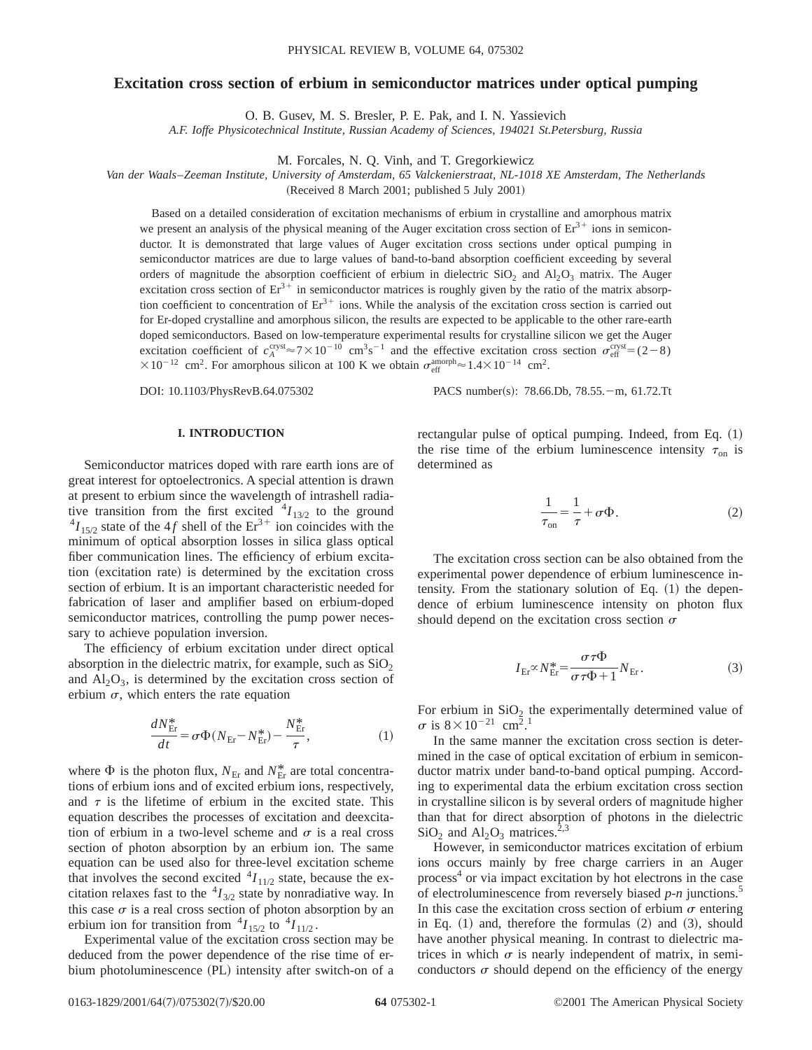# **Excitation cross section of erbium in semiconductor matrices under optical pumping**

O. B. Gusev, M. S. Bresler, P. E. Pak, and I. N. Yassievich

*A.F. Ioffe Physicotechnical Institute, Russian Academy of Sciences, 194021 St.Petersburg, Russia*

M. Forcales, N. Q. Vinh, and T. Gregorkiewicz

*Van der Waals*–*Zeeman Institute, University of Amsterdam, 65 Valckenierstraat, NL-1018 XE Amsterdam, The Netherlands*

(Received 8 March 2001; published 5 July 2001)

Based on a detailed consideration of excitation mechanisms of erbium in crystalline and amorphous matrix we present an analysis of the physical meaning of the Auger excitation cross section of  $Er<sup>3+</sup>$  ions in semiconductor. It is demonstrated that large values of Auger excitation cross sections under optical pumping in semiconductor matrices are due to large values of band-to-band absorption coefficient exceeding by several orders of magnitude the absorption coefficient of erbium in dielectric  $SiO_2$  and  $Al_2O_3$  matrix. The Auger excitation cross section of  $Er^{3+}$  in semiconductor matrices is roughly given by the ratio of the matrix absorption coefficient to concentration of  $Er<sup>3+</sup>$  ions. While the analysis of the excitation cross section is carried out for Er-doped crystalline and amorphous silicon, the results are expected to be applicable to the other rare-earth doped semiconductors. Based on low-temperature experimental results for crystalline silicon we get the Auger excitation coefficient of  $c_A^{\text{cryst}} \approx 7 \times 10^{-10} \text{ cm}^3 \text{s}^{-1}$  and the effective excitation cross section  $\sigma_{\text{eff}}^{\text{cryst}} = (2-8)$  $\times 10^{-12}$  cm<sup>2</sup>. For amorphous silicon at 100 K we obtain  $\sigma_{\text{eff}}^{\text{amorph}} \approx 1.4 \times 10^{-14}$  cm<sup>2</sup>.

DOI: 10.1103/PhysRevB.64.075302 PACS number(s): 78.66.Db, 78.55. - m, 61.72.Tt

### **I. INTRODUCTION**

Semiconductor matrices doped with rare earth ions are of great interest for optoelectronics. A special attention is drawn at present to erbium since the wavelength of intrashell radiative transition from the first excited  ${}^{4}I_{13/2}$  to the ground  $^{4}I_{15/2}$  state of the 4*f* shell of the Er<sup>3+</sup> ion coincides with the minimum of optical absorption losses in silica glass optical fiber communication lines. The efficiency of erbium excitation (excitation rate) is determined by the excitation cross section of erbium. It is an important characteristic needed for fabrication of laser and amplifier based on erbium-doped semiconductor matrices, controlling the pump power necessary to achieve population inversion.

The efficiency of erbium excitation under direct optical absorption in the dielectric matrix, for example, such as  $SiO<sub>2</sub>$ and  $\text{Al}_2\text{O}_3$ , is determined by the excitation cross section of erbium  $\sigma$ , which enters the rate equation

$$
\frac{dN_{\rm Er}^*}{dt} = \sigma \Phi (N_{\rm Er} - N_{\rm Er}^*) - \frac{N_{\rm Er}^*}{\tau},\tag{1}
$$

where  $\Phi$  is the photon flux,  $N_{\text{Er}}$  and  $N_{\text{Er}}^{*}$  are total concentrations of erbium ions and of excited erbium ions, respectively, and  $\tau$  is the lifetime of erbium in the excited state. This equation describes the processes of excitation and deexcitation of erbium in a two-level scheme and  $\sigma$  is a real cross section of photon absorption by an erbium ion. The same equation can be used also for three-level excitation scheme that involves the second excited  ${}^{4}I_{11/2}$  state, because the excitation relaxes fast to the  ${}^{4}I_{3/2}$  state by nonradiative way. In this case  $\sigma$  is a real cross section of photon absorption by an erbium ion for transition from  ${}^4I_{15/2}$  to  ${}^4I_{11/2}$ .

Experimental value of the excitation cross section may be deduced from the power dependence of the rise time of erbium photoluminescence (PL) intensity after switch-on of a rectangular pulse of optical pumping. Indeed, from Eq.  $(1)$ the rise time of the erbium luminescence intensity  $\tau_{on}$  is determined as

$$
\frac{1}{\tau_{\text{on}}} = \frac{1}{\tau} + \sigma \Phi. \tag{2}
$$

The excitation cross section can be also obtained from the experimental power dependence of erbium luminescence intensity. From the stationary solution of Eq.  $(1)$  the dependence of erbium luminescence intensity on photon flux should depend on the excitation cross section  $\sigma$ 

$$
I_{\text{Er}} \propto N_{\text{Er}}^* = \frac{\sigma \tau \Phi}{\sigma \tau \Phi + 1} N_{\text{Er}}.
$$
 (3)

For erbium in  $SiO<sub>2</sub>$  the experimentally determined value of  $\sigma$  is  $8 \times 10^{-21}$  cm<sup>2</sup>.<sup>1</sup>

In the same manner the excitation cross section is determined in the case of optical excitation of erbium in semiconductor matrix under band-to-band optical pumping. According to experimental data the erbium excitation cross section in crystalline silicon is by several orders of magnitude higher than that for direct absorption of photons in the dielectric  $SiO<sub>2</sub>$  and  $Al<sub>2</sub>O<sub>3</sub>$  matrices.<sup>2,3</sup>

However, in semiconductor matrices excitation of erbium ions occurs mainly by free charge carriers in an Auger process<sup>4</sup> or via impact excitation by hot electrons in the case of electroluminescence from reversely biased *p-n* junctions.5 In this case the excitation cross section of erbium  $\sigma$  entering in Eq.  $(1)$  and, therefore the formulas  $(2)$  and  $(3)$ , should have another physical meaning. In contrast to dielectric matrices in which  $\sigma$  is nearly independent of matrix, in semiconductors  $\sigma$  should depend on the efficiency of the energy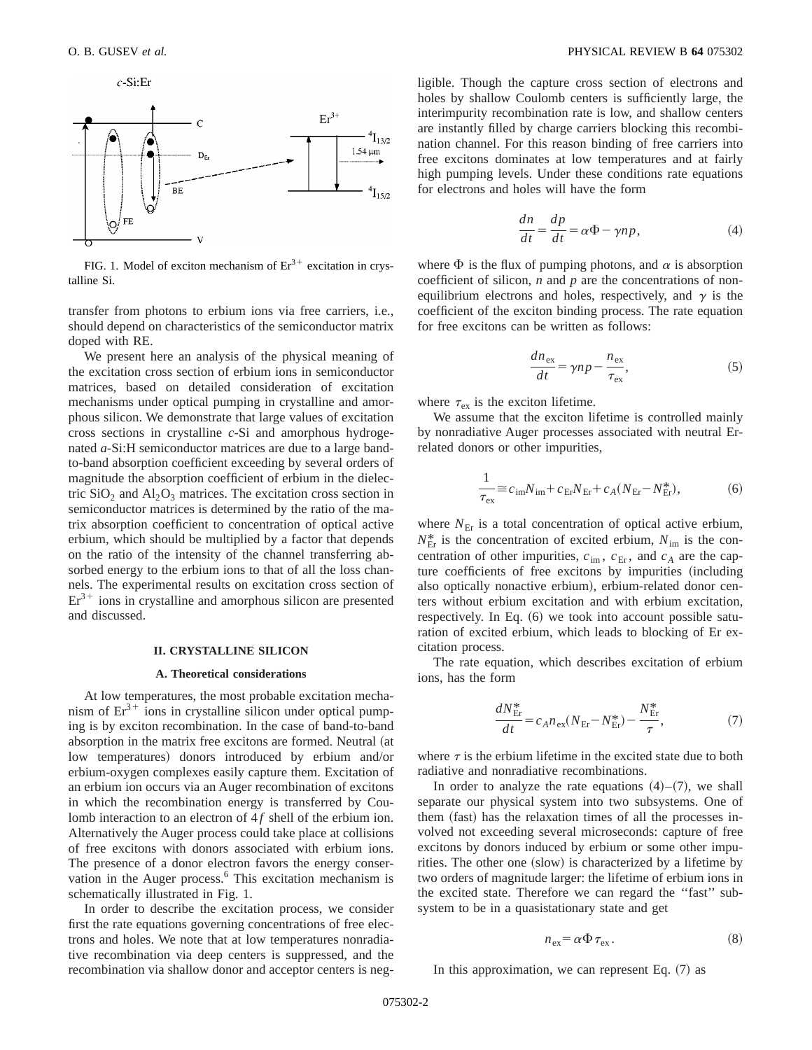

FIG. 1. Model of exciton mechanism of  $Er^{3+}$  excitation in crystalline Si.

transfer from photons to erbium ions via free carriers, i.e., should depend on characteristics of the semiconductor matrix doped with RE.

We present here an analysis of the physical meaning of the excitation cross section of erbium ions in semiconductor matrices, based on detailed consideration of excitation mechanisms under optical pumping in crystalline and amorphous silicon. We demonstrate that large values of excitation cross sections in crystalline *c*-Si and amorphous hydrogenated *a*-Si:H semiconductor matrices are due to a large bandto-band absorption coefficient exceeding by several orders of magnitude the absorption coefficient of erbium in the dielectric  $SiO<sub>2</sub>$  and  $Al<sub>2</sub>O<sub>3</sub>$  matrices. The excitation cross section in semiconductor matrices is determined by the ratio of the matrix absorption coefficient to concentration of optical active erbium, which should be multiplied by a factor that depends on the ratio of the intensity of the channel transferring absorbed energy to the erbium ions to that of all the loss channels. The experimental results on excitation cross section of  $Er<sup>3+</sup>$  ions in crystalline and amorphous silicon are presented and discussed.

#### **II. CRYSTALLINE SILICON**

### **A. Theoretical considerations**

At low temperatures, the most probable excitation mechanism of  $Er^{3+}$  ions in crystalline silicon under optical pumping is by exciton recombination. In the case of band-to-band absorption in the matrix free excitons are formed. Neutral (at low temperatures) donors introduced by erbium and/or erbium-oxygen complexes easily capture them. Excitation of an erbium ion occurs via an Auger recombination of excitons in which the recombination energy is transferred by Coulomb interaction to an electron of 4f shell of the erbium ion. Alternatively the Auger process could take place at collisions of free excitons with donors associated with erbium ions. The presence of a donor electron favors the energy conservation in the Auger process.<sup>6</sup> This excitation mechanism is schematically illustrated in Fig. 1.

In order to describe the excitation process, we consider first the rate equations governing concentrations of free electrons and holes. We note that at low temperatures nonradiative recombination via deep centers is suppressed, and the recombination via shallow donor and acceptor centers is negligible. Though the capture cross section of electrons and holes by shallow Coulomb centers is sufficiently large, the interimpurity recombination rate is low, and shallow centers are instantly filled by charge carriers blocking this recombination channel. For this reason binding of free carriers into free excitons dominates at low temperatures and at fairly high pumping levels. Under these conditions rate equations for electrons and holes will have the form

$$
\frac{dn}{dt} = \frac{dp}{dt} = \alpha \Phi - \gamma np,\tag{4}
$$

where  $\Phi$  is the flux of pumping photons, and  $\alpha$  is absorption coefficient of silicon, *n* and *p* are the concentrations of nonequilibrium electrons and holes, respectively, and  $\gamma$  is the coefficient of the exciton binding process. The rate equation for free excitons can be written as follows:

$$
\frac{dn_{\text{ex}}}{dt} = \gamma np - \frac{n_{\text{ex}}}{\tau_{\text{ex}}},\tag{5}
$$

where  $\tau_{\rm ex}$  is the exciton lifetime.

We assume that the exciton lifetime is controlled mainly by nonradiative Auger processes associated with neutral Errelated donors or other impurities,

$$
\frac{1}{\tau_{\text{ex}}} \approx c_{\text{im}} N_{\text{im}} + c_{\text{Er}} N_{\text{Er}} + c_A (N_{\text{Er}} - N_{\text{Er}}^*),\tag{6}
$$

where  $N_{\text{Er}}$  is a total concentration of optical active erbium,  $N_{\text{Er}}^{*}$  is the concentration of excited erbium,  $N_{\text{im}}$  is the concentration of other impurities,  $c_{\text{im}}$ ,  $c_{\text{Er}}$ , and  $c_A$  are the capture coefficients of free excitons by impurities (including also optically nonactive erbium), erbium-related donor centers without erbium excitation and with erbium excitation, respectively. In Eq.  $(6)$  we took into account possible saturation of excited erbium, which leads to blocking of Er excitation process.

The rate equation, which describes excitation of erbium ions, has the form

$$
\frac{dN_{\rm Er}^*}{dt} = c_A n_{\rm ex} (N_{\rm Er} - N_{\rm Er}^*) - \frac{N_{\rm Er}^*}{\tau},\tag{7}
$$

where  $\tau$  is the erbium lifetime in the excited state due to both radiative and nonradiative recombinations.

In order to analyze the rate equations  $(4)$ – $(7)$ , we shall separate our physical system into two subsystems. One of them (fast) has the relaxation times of all the processes involved not exceeding several microseconds: capture of free excitons by donors induced by erbium or some other impurities. The other one (slow) is characterized by a lifetime by two orders of magnitude larger: the lifetime of erbium ions in the excited state. Therefore we can regard the ''fast'' subsystem to be in a quasistationary state and get

$$
n_{\rm ex} = \alpha \Phi \tau_{\rm ex} \,. \tag{8}
$$

In this approximation, we can represent Eq.  $(7)$  as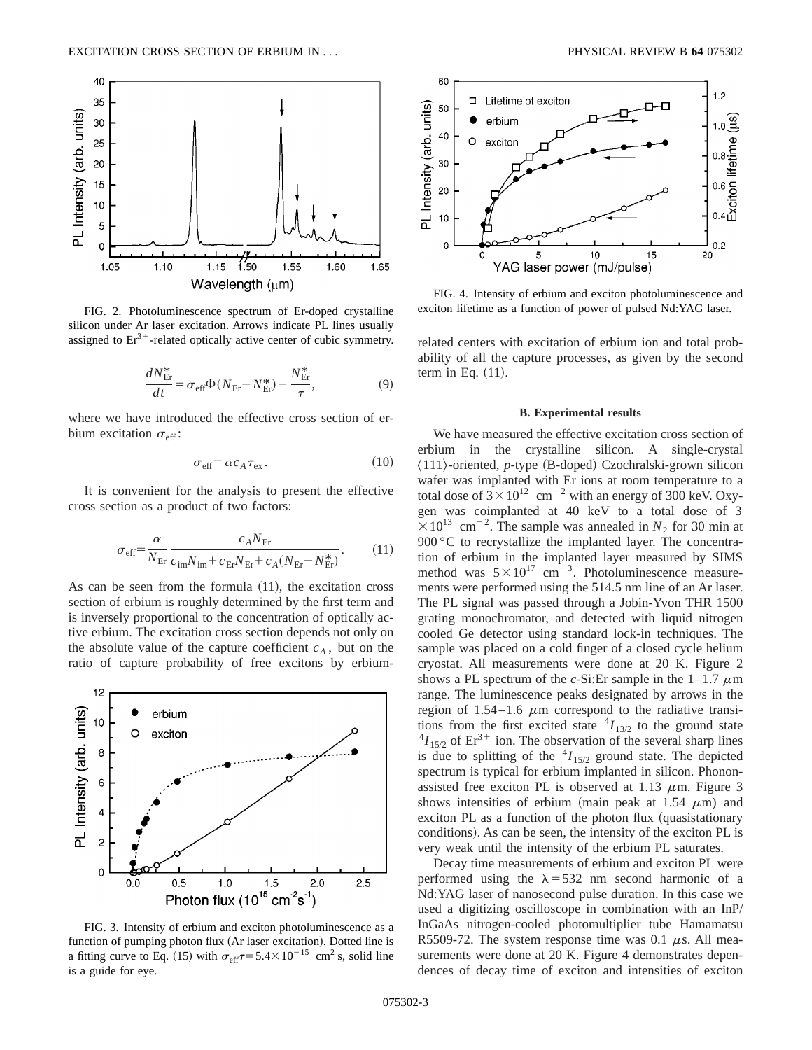

FIG. 2. Photoluminescence spectrum of Er-doped crystalline silicon under Ar laser excitation. Arrows indicate PL lines usually assigned to  $Er^{3+}$ -related optically active center of cubic symmetry.

$$
\frac{dN_{\rm Er}^*}{dt} = \sigma_{\rm eff} \Phi (N_{\rm Er} - N_{\rm Er}^*) - \frac{N_{\rm Er}^*}{\tau},\tag{9}
$$

where we have introduced the effective cross section of erbium excitation  $\sigma_{\text{eff}}$ :

$$
\sigma_{\rm eff} = \alpha c_A \tau_{\rm ex} \,. \tag{10}
$$

It is convenient for the analysis to present the effective cross section as a product of two factors:

$$
\sigma_{\text{eff}} = \frac{\alpha}{N_{\text{Er}}} \frac{c_A N_{\text{Er}}}{c_{\text{im}} N_{\text{im}} + c_{\text{Er}} N_{\text{Er}} + c_A (N_{\text{Er}} - N_{\text{Er}}^*)}.
$$
(11)

As can be seen from the formula  $(11)$ , the excitation cross section of erbium is roughly determined by the first term and is inversely proportional to the concentration of optically active erbium. The excitation cross section depends not only on the absolute value of the capture coefficient  $c_A$ , but on the ratio of capture probability of free excitons by erbium-



FIG. 3. Intensity of erbium and exciton photoluminescence as a function of pumping photon flux (Ar laser excitation). Dotted line is a fitting curve to Eq. (15) with  $\sigma_{\text{eff}}\tau$ = 5.4×10<sup>-15</sup> cm<sup>2</sup> s, solid line is a guide for eye.



FIG. 4. Intensity of erbium and exciton photoluminescence and exciton lifetime as a function of power of pulsed Nd:YAG laser.

related centers with excitation of erbium ion and total probability of all the capture processes, as given by the second term in Eq.  $(11)$ .

### **B. Experimental results**

We have measured the effective excitation cross section of erbium in the crystalline silicon. A single-crystal  $\langle 111 \rangle$ -oriented, *p*-type (B-doped) Czochralski-grown silicon wafer was implanted with Er ions at room temperature to a total dose of  $3 \times 10^{12}$  cm<sup>-2</sup> with an energy of 300 keV. Oxygen was coimplanted at 40 keV to a total dose of 3  $\times 10^{13}$  cm<sup>-2</sup>. The sample was annealed in *N*<sub>2</sub> for 30 min at 900 °C to recrystallize the implanted layer. The concentration of erbium in the implanted layer measured by SIMS method was  $5 \times 10^{17}$  cm<sup>-3</sup>. Photoluminescence measurements were performed using the 514.5 nm line of an Ar laser. The PL signal was passed through a Jobin-Yvon THR 1500 grating monochromator, and detected with liquid nitrogen cooled Ge detector using standard lock-in techniques. The sample was placed on a cold finger of a closed cycle helium cryostat. All measurements were done at 20 K. Figure 2 shows a PL spectrum of the *c*-Si:Er sample in the  $1-1.7 \mu m$ range. The luminescence peaks designated by arrows in the region of 1.54–1.6  $\mu$ m correspond to the radiative transitions from the first excited state  $^{4}I_{13/2}$  to the ground state  $^{4}I_{15/2}$  of Er<sup>3+</sup> ion. The observation of the several sharp lines is due to splitting of the  ${}^{4}I_{15/2}$  ground state. The depicted spectrum is typical for erbium implanted in silicon. Phononassisted free exciton PL is observed at 1.13  $\mu$ m. Figure 3 shows intensities of erbium (main peak at 1.54  $\mu$ m) and exciton PL as a function of the photon flux (quasistationary conditions). As can be seen, the intensity of the exciton PL is very weak until the intensity of the erbium PL saturates.

Decay time measurements of erbium and exciton PL were performed using the  $\lambda$ =532 nm second harmonic of a Nd:YAG laser of nanosecond pulse duration. In this case we used a digitizing oscilloscope in combination with an InP/ InGaAs nitrogen-cooled photomultiplier tube Hamamatsu R5509-72. The system response time was 0.1  $\mu$ s. All measurements were done at 20 K. Figure 4 demonstrates dependences of decay time of exciton and intensities of exciton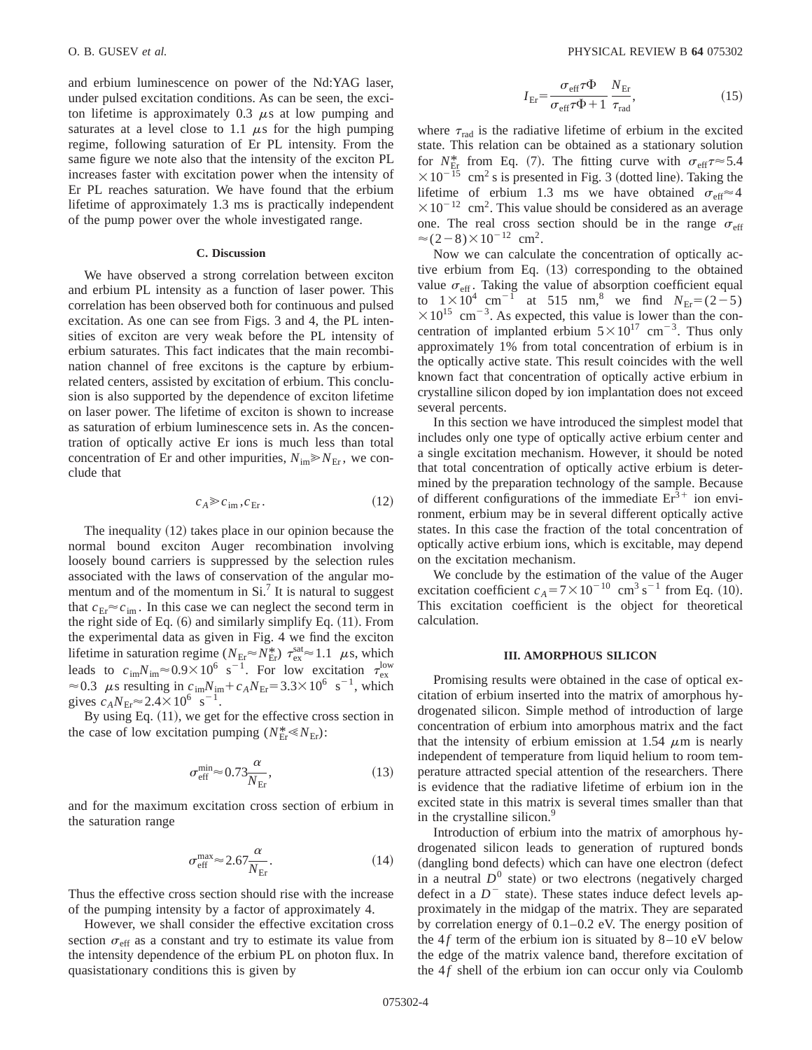and erbium luminescence on power of the Nd:YAG laser, under pulsed excitation conditions. As can be seen, the exciton lifetime is approximately  $0.3 \mu s$  at low pumping and saturates at a level close to 1.1  $\mu$ s for the high pumping regime, following saturation of Er PL intensity. From the same figure we note also that the intensity of the exciton PL increases faster with excitation power when the intensity of Er PL reaches saturation. We have found that the erbium lifetime of approximately 1.3 ms is practically independent of the pump power over the whole investigated range.

## **C. Discussion**

We have observed a strong correlation between exciton and erbium PL intensity as a function of laser power. This correlation has been observed both for continuous and pulsed excitation. As one can see from Figs. 3 and 4, the PL intensities of exciton are very weak before the PL intensity of erbium saturates. This fact indicates that the main recombination channel of free excitons is the capture by erbiumrelated centers, assisted by excitation of erbium. This conclusion is also supported by the dependence of exciton lifetime on laser power. The lifetime of exciton is shown to increase as saturation of erbium luminescence sets in. As the concentration of optically active Er ions is much less than total concentration of Er and other impurities,  $N_{\text{im}} \ge N_{\text{Er}}$ , we conclude that

$$
c_A \gg c_{\rm im}, c_{\rm Er}.\tag{12}
$$

The inequality  $(12)$  takes place in our opinion because the normal bound exciton Auger recombination involving loosely bound carriers is suppressed by the selection rules associated with the laws of conservation of the angular momentum and of the momentum in  $Si<sup>7</sup>$  It is natural to suggest that  $c_{Er} \approx c_{im}$ . In this case we can neglect the second term in the right side of Eq.  $(6)$  and similarly simplify Eq.  $(11)$ . From the experimental data as given in Fig. 4 we find the exciton lifetime in saturation regime  $(N_{\text{Er}} \approx N_{\text{Er}}^*) \tau_{\text{ex}}^{\text{sat}} \approx 1.1 \mu s$ , which leads to  $c_{\text{im}}N_{\text{im}} \approx 0.9 \times 10^6 \text{ s}^{-1}$ . For low excitation  $\tau_{\text{ex}}^{\text{low}}$  $\approx 0.3$   $\mu$ s resulting in  $c_{\text{im}}N_{\text{im}}+c_A N_{\text{Er}}=3.3\times10^6 \text{ s}^{-1}$ , which gives  $c_A N_{\text{Er}} \approx 2.4 \times 10^6 \text{ s}^{-1}$ .

By using Eq.  $(11)$ , we get for the effective cross section in the case of low excitation pumping ( $N_{\text{Er}}^* \ll N_{\text{Er}}$ ):

$$
\sigma_{\rm eff}^{\rm min} \approx 0.73 \frac{\alpha}{N_{\rm Er}},\tag{13}
$$

and for the maximum excitation cross section of erbium in the saturation range

$$
\sigma_{\rm eff}^{\rm max} \approx 2.67 \frac{\alpha}{N_{\rm Er}}.\tag{14}
$$

Thus the effective cross section should rise with the increase of the pumping intensity by a factor of approximately 4.

However, we shall consider the effective excitation cross section  $\sigma_{\text{eff}}$  as a constant and try to estimate its value from the intensity dependence of the erbium PL on photon flux. In quasistationary conditions this is given by

$$
I_{\rm Er} = \frac{\sigma_{\rm eff} \tau \Phi}{\sigma_{\rm eff} \tau \Phi + 1} \frac{N_{\rm Er}}{\tau_{\rm rad}},\tag{15}
$$

where  $\tau_{rad}$  is the radiative lifetime of erbium in the excited state. This relation can be obtained as a stationary solution for  $N_{\text{Er}}^{*}$  from Eq. (7). The fitting curve with  $\sigma_{\text{eff}}\tau \approx 5.4$  $\times 10^{-15}$  cm<sup>2</sup> s is presented in Fig. 3 (dotted line). Taking the lifetime of erbium 1.3 ms we have obtained  $\sigma_{\text{eff}} \approx 4$  $\times 10^{-12}$  cm<sup>2</sup>. This value should be considered as an average one. The real cross section should be in the range  $\sigma_{\text{eff}}$  $\approx$  (2-8) $\times$ 10<sup>-12</sup> cm<sup>2</sup>.

Now we can calculate the concentration of optically active erbium from Eq.  $(13)$  corresponding to the obtained value  $\sigma_{\text{eff}}$ . Taking the value of absorption coefficient equal to  $1 \times 10^4$  cm<sup>-1</sup> at 515 nm,<sup>8</sup> we find  $N_{\text{Er}} = (2-5)$  $\times 10^{15}$  cm<sup>-3</sup>. As expected, this value is lower than the concentration of implanted erbium  $5 \times 10^{17}$  cm<sup>-3</sup>. Thus only approximately 1% from total concentration of erbium is in the optically active state. This result coincides with the well known fact that concentration of optically active erbium in crystalline silicon doped by ion implantation does not exceed several percents.

In this section we have introduced the simplest model that includes only one type of optically active erbium center and a single excitation mechanism. However, it should be noted that total concentration of optically active erbium is determined by the preparation technology of the sample. Because of different configurations of the immediate  $Er<sup>3+</sup>$  ion environment, erbium may be in several different optically active states. In this case the fraction of the total concentration of optically active erbium ions, which is excitable, may depend on the excitation mechanism.

We conclude by the estimation of the value of the Auger excitation coefficient  $c_A = 7 \times 10^{-10}$  cm<sup>3</sup> s<sup>-1</sup> from Eq. (10). This excitation coefficient is the object for theoretical calculation.

### **III. AMORPHOUS SILICON**

Promising results were obtained in the case of optical excitation of erbium inserted into the matrix of amorphous hydrogenated silicon. Simple method of introduction of large concentration of erbium into amorphous matrix and the fact that the intensity of erbium emission at 1.54  $\mu$ m is nearly independent of temperature from liquid helium to room temperature attracted special attention of the researchers. There is evidence that the radiative lifetime of erbium ion in the excited state in this matrix is several times smaller than that in the crystalline silicon.<sup>9</sup>

Introduction of erbium into the matrix of amorphous hydrogenated silicon leads to generation of ruptured bonds (dangling bond defects) which can have one electron (defect in a neutral  $D^0$  state) or two electrons (negatively charged defect in a  $D^{-}$  state). These states induce defect levels approximately in the midgap of the matrix. They are separated by correlation energy of 0.1–0.2 eV. The energy position of the  $4f$  term of the erbium ion is situated by  $8-10$  eV below the edge of the matrix valence band, therefore excitation of the  $4f$  shell of the erbium ion can occur only via Coulomb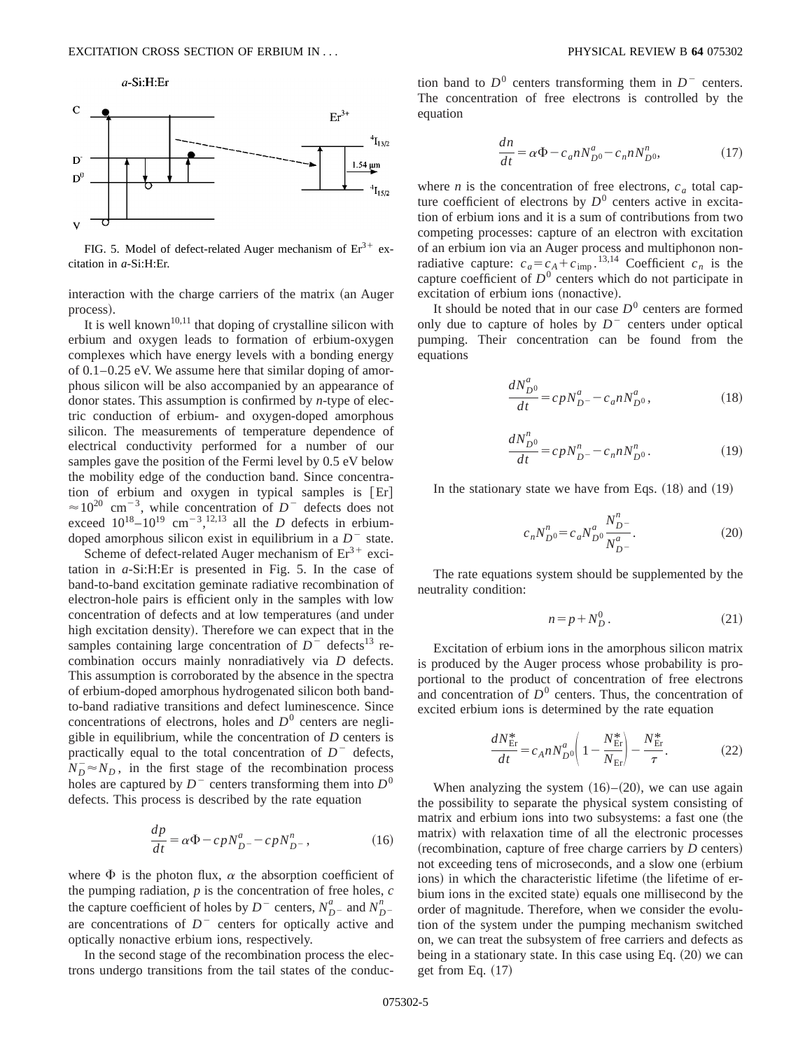

FIG. 5. Model of defect-related Auger mechanism of  $Er^{3+}$  excitation in *a*-Si:H:Er.

interaction with the charge carriers of the matrix (an Auger process).

It is well known<sup>10,11</sup> that doping of crystalline silicon with erbium and oxygen leads to formation of erbium-oxygen complexes which have energy levels with a bonding energy of 0.1–0.25 eV. We assume here that similar doping of amorphous silicon will be also accompanied by an appearance of donor states. This assumption is confirmed by *n*-type of electric conduction of erbium- and oxygen-doped amorphous silicon. The measurements of temperature dependence of electrical conductivity performed for a number of our samples gave the position of the Fermi level by 0.5 eV below the mobility edge of the conduction band. Since concentration of erbium and oxygen in typical samples is  $[Er]$  $\approx 10^{20}$  cm<sup>-3</sup>, while concentration of *D*<sup>-</sup> defects does not exceed  $10^{18} - 10^{19}$  cm<sup>-3</sup>,<sup>12,13</sup> all the *D* defects in erbiumdoped amorphous silicon exist in equilibrium in a  $D^-$  state.

Scheme of defect-related Auger mechanism of  $Er<sup>3+</sup>$  excitation in *a*-Si:H:Er is presented in Fig. 5. In the case of band-to-band excitation geminate radiative recombination of electron-hole pairs is efficient only in the samples with low concentration of defects and at low temperatures (and under high excitation density). Therefore we can expect that in the samples containing large concentration of  $D^-$  defects<sup>13</sup> recombination occurs mainly nonradiatively via *D* defects. This assumption is corroborated by the absence in the spectra of erbium-doped amorphous hydrogenated silicon both bandto-band radiative transitions and defect luminescence. Since concentrations of electrons, holes and  $D<sup>0</sup>$  centers are negligible in equilibrium, while the concentration of *D* centers is practically equal to the total concentration of  $D^-$  defects,  $N_D^- \approx N_D$ , in the first stage of the recombination process holes are captured by  $D^-$  centers transforming them into  $D^0$ defects. This process is described by the rate equation

$$
\frac{dp}{dt} = \alpha \Phi - cpN_{D^{-}}^{a} - cpN_{D^{-}}^{n},\tag{16}
$$

where  $\Phi$  is the photon flux,  $\alpha$  the absorption coefficient of the pumping radiation, *p* is the concentration of free holes, *c* the capture coefficient of holes by  $D^-$  centers,  $N_{D^-}^a$  and  $N_{D^-}^n$ are concentrations of  $D^-$  centers for optically active and optically nonactive erbium ions, respectively.

In the second stage of the recombination process the electrons undergo transitions from the tail states of the conduction band to  $D^0$  centers transforming them in  $D^-$  centers. The concentration of free electrons is controlled by the equation

$$
\frac{dn}{dt} = \alpha \Phi - c_a n N_{D^0}^a - c_n n N_{D^0}^n,\tag{17}
$$

where *n* is the concentration of free electrons,  $c_a$  total capture coefficient of electrons by  $D^0$  centers active in excitation of erbium ions and it is a sum of contributions from two competing processes: capture of an electron with excitation of an erbium ion via an Auger process and multiphonon nonradiative capture:  $c_a = c_A + c_{\text{imp}}$ .<sup>13,14</sup> Coefficient  $c_n$  is the capture coefficient of  $D^0$  centers which do not participate in excitation of erbium ions (nonactive).

It should be noted that in our case  $D<sup>0</sup>$  centers are formed only due to capture of holes by  $D<sup>-</sup>$  centers under optical pumping. Their concentration can be found from the equations

$$
\frac{dN_{D^0}^a}{dt} = c p N_{D^-}^a - c_a n N_{D^0}^a,
$$
\n(18)

$$
\frac{dN_{D^0}^n}{dt} = c\rho N_{D^-}^n - c_n n N_{D^0}^n. \tag{19}
$$

In the stationary state we have from Eqs.  $(18)$  and  $(19)$ 

$$
c_n N_{D^0}^n = c_a N_{D^0}^a \frac{N_{D^-}^n}{N_{D^-}^a}.
$$
 (20)

The rate equations system should be supplemented by the neutrality condition:

$$
n = p + N_D^0. \tag{21}
$$

Excitation of erbium ions in the amorphous silicon matrix is produced by the Auger process whose probability is proportional to the product of concentration of free electrons and concentration of  $D^0$  centers. Thus, the concentration of excited erbium ions is determined by the rate equation

$$
\frac{dN_{\rm Er}^*}{dt} = c_A n N_{D0}^a \left( 1 - \frac{N_{\rm Er}^*}{N_{\rm Er}} \right) - \frac{N_{\rm Er}^*}{\tau}.
$$
 (22)

When analyzing the system  $(16)–(20)$ , we can use again the possibility to separate the physical system consisting of matrix and erbium ions into two subsystems: a fast one (the matrix) with relaxation time of all the electronic processes (recombination, capture of free charge carriers by *D* centers) not exceeding tens of microseconds, and a slow one (erbium ions) in which the characteristic lifetime (the lifetime of erbium ions in the excited state) equals one millisecond by the order of magnitude. Therefore, when we consider the evolution of the system under the pumping mechanism switched on, we can treat the subsystem of free carriers and defects as being in a stationary state. In this case using Eq.  $(20)$  we can get from Eq.  $(17)$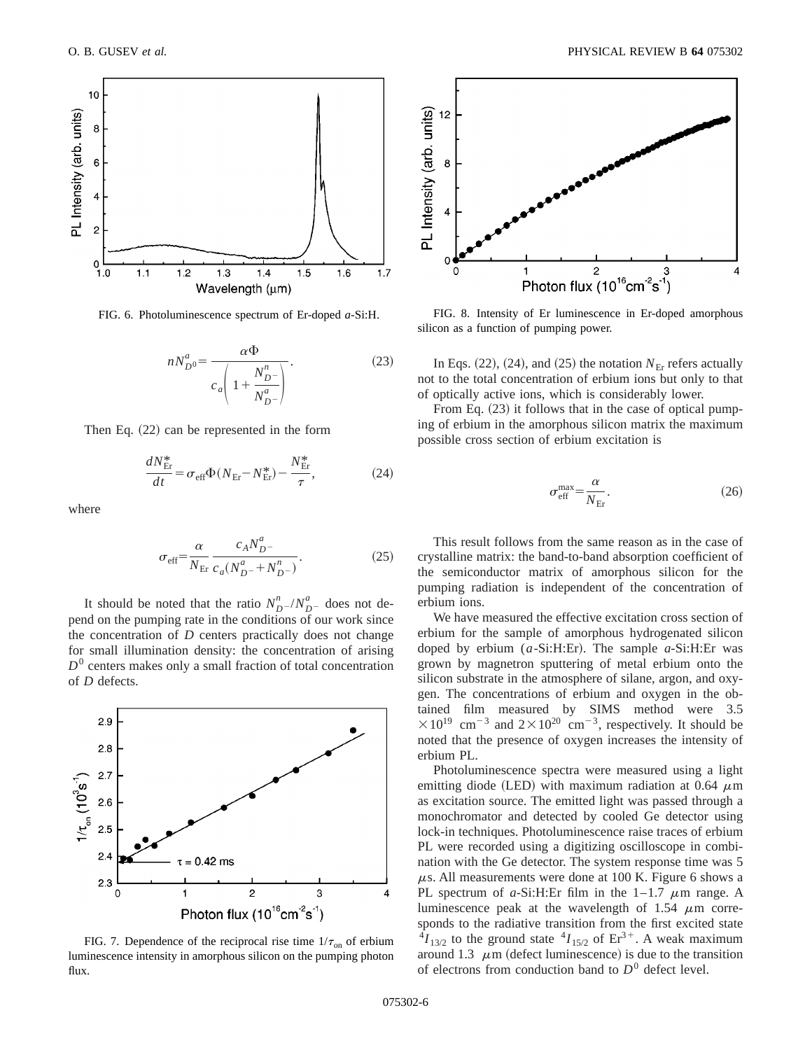

FIG. 6. Photoluminescence spectrum of Er-doped *a*-Si:H.

$$
nN_{D^0}^a = \frac{\alpha \Phi}{c_a \left(1 + \frac{N_{D^-}^n}{N_{D^-}^a}\right)}.
$$
\n(23)

Then Eq.  $(22)$  can be represented in the form

$$
\frac{dN_{\rm Er}^*}{dt} = \sigma_{\rm eff} \Phi (N_{\rm Er} - N_{\rm Er}^*) - \frac{N_{\rm Er}^*}{\tau},\tag{24}
$$

where

$$
\sigma_{\rm eff} = \frac{\alpha}{N_{\rm Er}} \frac{c_A N_{D}^a}{c_a (N_{D}^a + N_{D}^n)}.
$$
\n(25)

It should be noted that the ratio  $N_{D}^{n}$  / $N_{D}^{a}$  does not depend on the pumping rate in the conditions of our work since the concentration of *D* centers practically does not change for small illumination density: the concentration of arising  $D<sup>0</sup>$  centers makes only a small fraction of total concentration of *D* defects.



FIG. 7. Dependence of the reciprocal rise time  $1/\tau_{on}$  of erbium luminescence intensity in amorphous silicon on the pumping photon flux.



FIG. 8. Intensity of Er luminescence in Er-doped amorphous silicon as a function of pumping power.

In Eqs.  $(22)$ ,  $(24)$ , and  $(25)$  the notation  $N_{\text{Er}}$  refers actually not to the total concentration of erbium ions but only to that of optically active ions, which is considerably lower.

From Eq.  $(23)$  it follows that in the case of optical pumping of erbium in the amorphous silicon matrix the maximum possible cross section of erbium excitation is

$$
\sigma_{\rm eff}^{\rm max} = \frac{\alpha}{N_{\rm Er}}.\tag{26}
$$

This result follows from the same reason as in the case of crystalline matrix: the band-to-band absorption coefficient of the semiconductor matrix of amorphous silicon for the pumping radiation is independent of the concentration of erbium ions.

We have measured the effective excitation cross section of erbium for the sample of amorphous hydrogenated silicon doped by erbium  $(a-Si:H:Er)$ . The sample  $a-Si:H:Er$  was grown by magnetron sputtering of metal erbium onto the silicon substrate in the atmosphere of silane, argon, and oxygen. The concentrations of erbium and oxygen in the obtained film measured by SIMS method were 3.5  $\times 10^{19}$  cm<sup>-3</sup> and  $2\times 10^{20}$  cm<sup>-3</sup>, respectively. It should be noted that the presence of oxygen increases the intensity of erbium PL.

Photoluminescence spectra were measured using a light emitting diode (LED) with maximum radiation at 0.64  $\mu$ m as excitation source. The emitted light was passed through a monochromator and detected by cooled Ge detector using lock-in techniques. Photoluminescence raise traces of erbium PL were recorded using a digitizing oscilloscope in combination with the Ge detector. The system response time was 5  $\mu$ s. All measurements were done at 100 K. Figure 6 shows a PL spectrum of  $a$ -Si:H:Er film in the  $1-1.7 \mu$ m range. A luminescence peak at the wavelength of 1.54  $\mu$ m corresponds to the radiative transition from the first excited state  $^{4}I_{13/2}$  to the ground state  $^{4}I_{15/2}$  of  $Er^{3+}$ . A weak maximum around 1.3  $\mu$ m (defect luminescence) is due to the transition of electrons from conduction band to  $D^0$  defect level.